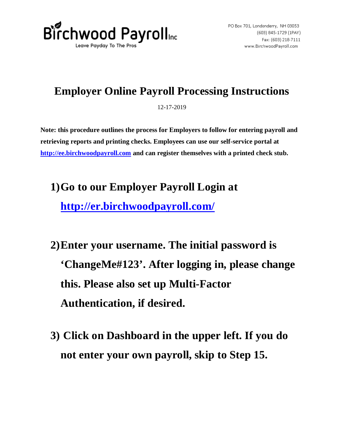

## **Employer Online Payroll Processing Instructions**

12-17-2019

**Note: this procedure outlines the process for Employers to follow for entering payroll and retrieving reports and printing checks. Employees can use our self-service portal at http://ee.birchwoodpayroll.com and can register themselves with a printed check stub.** 

- **1)Go to our Employer Payroll Login at http://er.birchwoodpayroll.com/**
- **2)Enter your username. The initial password is 'ChangeMe#123'. After logging in, please change this. Please also set up Multi-Factor Authentication, if desired.**
- **3) Click on Dashboard in the upper left. If you do not enter your own payroll, skip to Step 15.**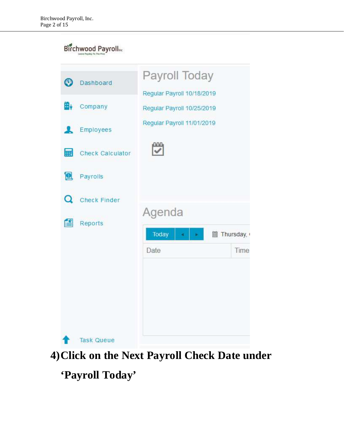## Birchwood Payrolle

| ⊙  | Dashboard               | Payroll Today                                            |           |
|----|-------------------------|----------------------------------------------------------|-----------|
| н. | Company                 | Regular Payroll 10/18/2019<br>Regular Payroll 10/25/2019 |           |
|    | Employees               | Regular Payroll 11/01/2019                               |           |
| 翩  | <b>Check Calculator</b> |                                                          |           |
|    | <b>D</b> Payrolls       |                                                          |           |
| Q  | <b>Check Finder</b>     | Agenda                                                   |           |
| é  | Reports                 | Today<br>ä                                               | Thursday, |
|    |                         | Date                                                     | Time      |
|    |                         |                                                          |           |
|    | <b>Task Queue</b>       |                                                          |           |

## **4)Click on the Next Payroll Check Date under**

## **'Payroll Today'**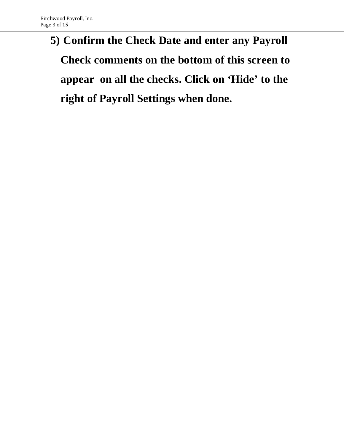# **5) Confirm the Check Date and enter any Payroll Check comments on the bottom of this screen to appear on all the checks. Click on 'Hide' to the right of Payroll Settings when done.**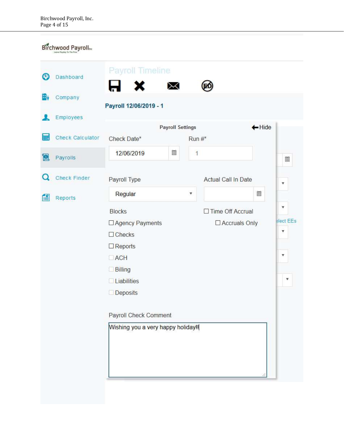#### Birchwood Payrolle

| O          | Dashboard               | Payroll Timeline                                                                                                                                                                                      | ⋈                       |          | ЕC                                    |        |                                                                             |
|------------|-------------------------|-------------------------------------------------------------------------------------------------------------------------------------------------------------------------------------------------------|-------------------------|----------|---------------------------------------|--------|-----------------------------------------------------------------------------|
| В,         | Company                 | Payroll 12/06/2019 - 1                                                                                                                                                                                |                         |          |                                       |        |                                                                             |
|            | <b>Employees</b>        |                                                                                                                                                                                                       |                         |          |                                       |        |                                                                             |
| 翩          | <b>Check Calculator</b> |                                                                                                                                                                                                       | <b>Payroll Settings</b> |          |                                       | ← Hide |                                                                             |
|            |                         | Check Date*                                                                                                                                                                                           |                         | $Run #*$ |                                       |        |                                                                             |
| 1 <u>0</u> | Payrolls                | 12/06/2019                                                                                                                                                                                            | 圃                       | 1        |                                       |        | 圓                                                                           |
| Q          | <b>Check Finder</b>     | Payroll Type                                                                                                                                                                                          |                         |          | <b>Actual Call In Date</b>            |        | $\boldsymbol{\mathrm{v}}$                                                   |
| £          | Reports                 | Regular                                                                                                                                                                                               |                         | v        |                                       | 儞      |                                                                             |
|            |                         | <b>Blocks</b><br>□ Agency Payments<br>$\Box$ Checks<br>$\Box$ Reports<br>$\Box$ ACH<br><b>Billing</b><br>Liabilities<br><b>Deposits</b><br>Payroll Check Comment<br>Wishing you a very happy holiday! |                         |          | □ Time Off Accrual<br>□ Accruals Only |        | v<br>elect EEs<br>v<br>$\boldsymbol{\mathrm{v}}$<br>$\overline{\mathbf{v}}$ |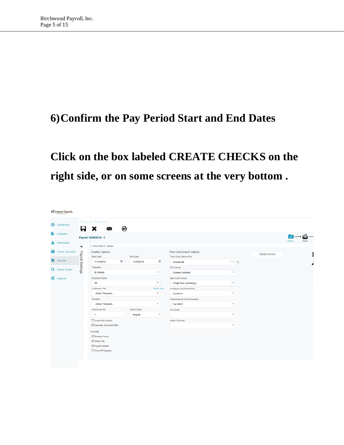## **6)Confirm the Pay Period Start and End Dates**

## **Click on the box labeled CREATE CHECKS on the right side, or on some screens at the very bottom .**

|   | Birchwood Payroll             |                  |                                                                                    |            |                         |                                         |                                              |                                                                 |               |                   |
|---|-------------------------------|------------------|------------------------------------------------------------------------------------|------------|-------------------------|-----------------------------------------|----------------------------------------------|-----------------------------------------------------------------|---------------|-------------------|
|   | <b>Dashboard</b>              |                  | Payroll Timeline                                                                   |            |                         |                                         |                                              |                                                                 |               |                   |
|   | <b>E</b> <sub>v</sub> Company | Н                | $\boldsymbol{\mathsf{x}}$<br>$\bowtie$                                             | ®          |                         |                                         |                                              |                                                                 |               | ಹ                 |
|   | Employees                     |                  | Payroll 12/06/2019 - 1                                                             |            |                         |                                         |                                              |                                                                 |               | Batches<br>Cherks |
|   | Check Calculator              | $\rightarrow$    | X Check Batch -4 - Settings<br><b>Creation Options</b>                             |            |                         |                                         | Time Clock Import Options                    |                                                                 | CREATE CHECKS |                   |
|   | <b>D</b> Payrolls             | Payroll Settings | Start Date*<br>11/16/2019                                                          | $\boxplus$ | End Date*<br>11/29/2019 | 圃                                       | Time Clock Source File<br>Choose file        | $\begin{array}{c c} \circ \circ \circ & \mathsf{X} \end{array}$ |               |                   |
|   | Q Check Finder                |                  | Frequency<br><b>Bi-Weekly</b>                                                      |            |                         | $\mathbf{v}$                            | File Format<br>Comma Delimited               | $\boldsymbol{\mathrm{v}}$                                       |               |                   |
| 曾 | Reports                       |                  | Employee Types<br>All                                                              |            |                         | $\overline{\mathbf{v}}$                 | Date Field Format<br>2 Digit Year (mm/dd/yy) | $\boldsymbol{\mathrm{v}}$                                       |               |                   |
|   |                               |                  | Employee Filter<br>--Select Template--                                             |            |                         | Select EEs<br>$\boldsymbol{\mathrm{v}}$ | Employee Synchronization<br>Custom #         | $\boldsymbol{\mathrm{v}}$                                       |               |                   |
|   |                               |                  | Template                                                                           |            |                         |                                         | Organizational Synchronization               |                                                                 |               |                   |
|   |                               |                  | --Select Template--<br>Checks per EE                                               |            | <b>Check Types</b>      | $\boldsymbol{\mathrm{v}}$               | <b>Full DBDT</b><br><b>Job Codes</b>         | $\boldsymbol{\mathrm{v}}$                                       |               |                   |
|   |                               |                  | $\overline{1}$                                                                     |            | Regular                 | $\boldsymbol{\mathrm{v}}$               |                                              | $\boldsymbol{\mathrm{v}}$                                       |               |                   |
|   |                               |                  | Create 945 Checks<br>Calculate Scheduled EDs                                       |            |                         |                                         | Apply Org Level                              | $\boldsymbol{\mathrm{v}}$                                       |               |                   |
|   |                               |                  | Include<br>Standard Hours<br>Salary Pay<br>Payroll Defaults<br>□ Time Off Requests |            |                         |                                         |                                              |                                                                 |               |                   |
|   |                               |                  |                                                                                    |            |                         |                                         |                                              |                                                                 |               |                   |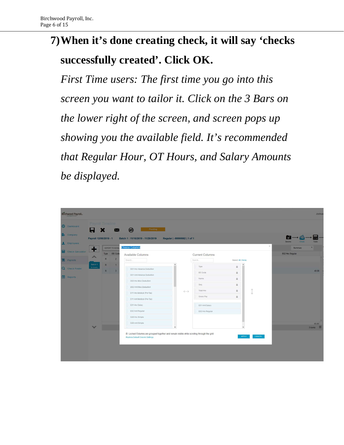## **7)When it's done creating check, it will say 'checks successfully created'. Click OK.**

*First Time users: The first time you go into this screen you want to tailor it. Click on the 3 Bars on the lower right of the screen, and screen pops up showing you the available field. It's recommended that Regular Hour, OT Hours, and Salary Amounts be displayed.* 

| Birchwood Payroll <sub>16</sub> |                                    |        |                                   |                                                                                                                            |                              |                                  |                                          |          |                            | Joshua                      |
|---------------------------------|------------------------------------|--------|-----------------------------------|----------------------------------------------------------------------------------------------------------------------------|------------------------------|----------------------------------|------------------------------------------|----------|----------------------------|-----------------------------|
| <b>O</b> Dashboard              | Payroll Timeline                   | x      | $\bowtie$                         | <b>®</b><br>Pending                                                                                                        |                              |                                  |                                          |          |                            |                             |
| <b>By</b> Company               | Payroll 12/06/2019 - 1             |        |                                   | Batch 1: 11/16/2019 - 11/29/2019                                                                                           | Regular   -99999982   1 of 1 |                                  |                                          |          | Betches<br>Checks          | <b>Totals</b>               |
| Employees<br>Check Calculator   | ,,,,,,,,,,,,,,<br><b>TELESCOPE</b> | Type   | <b>EXPORT TO EXCEL</b><br>EE Code | <b>Choose Columns</b>                                                                                                      |                              |                                  |                                          | $\times$ | Summary<br>E02 Hrs Regular | v                           |
| <b>Q</b> Payrolls               | A<br>Batch 1                       | R      | $\overline{2}$                    | Available Columns<br>Search                                                                                                |                              | <b>Current Columns</b><br>Search | Select All   None<br>$\hat{\phantom{a}}$ |          |                            |                             |
| Q Check Finder                  | Bi-Weekly                          | R<br>R | $\mathbf{1}$<br>3                 | D01 Hrs Advance Deduction<br>D01 Amt Advance Deduction                                                                     |                              | Type<br>EE Code                  | $\Box$<br>$\triangleq$                   |          |                            | 40.00                       |
| Reports                         |                                    |        |                                   | D03 Hrs Misc Deduction                                                                                                     |                              | Name<br>Seq                      | $\triangleq$<br>$\mathfrak{m}$           |          |                            |                             |
|                                 |                                    |        |                                   | D03 Amt Misc Deduction<br>D11 Hrs Medical (Pre-Tax)                                                                        | $\leftrightarrow$            | Total Hrs<br>Gross Pay           | $\mathfrak{g}$<br>$\mathfrak{g}$         | 个        |                            |                             |
|                                 |                                    |        |                                   | D11 Amt Medical (Pre-Tax)<br>E01 Hrs Salary                                                                                |                              | E01 Amt Salary                   |                                          |          |                            |                             |
|                                 |                                    |        |                                   | E02 Amt Regular<br>D29 Hrs Simple                                                                                          |                              | E02 Hrs Regular                  |                                          |          |                            |                             |
|                                 |                                    |        |                                   | D29 Amt Simple<br>$\checkmark$                                                                                             |                              |                                  | $\checkmark$                             |          |                            | 40.00<br>$3$ items $\equiv$ |
|                                 |                                    |        |                                   | Locked Columns are grouped together and remain visible while scrolling through the grid<br>Restore Default Column Settings |                              |                                  | APPLY                                    | CANCEL   |                            |                             |
|                                 |                                    |        |                                   |                                                                                                                            |                              |                                  |                                          |          |                            |                             |
|                                 |                                    |        |                                   |                                                                                                                            |                              |                                  |                                          |          |                            |                             |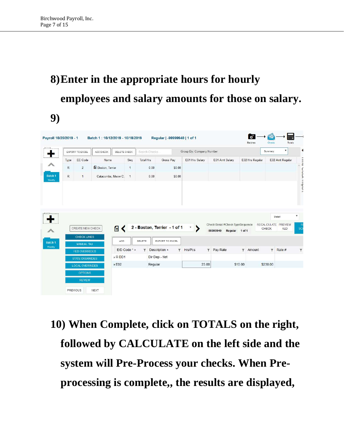# **8)Enter in the appropriate hours for hourly employees and salary amounts for those on salary. 9)**

|              | EXPORT TO EXCEL                           | ADD CHECK          | DELETE CHECK                        |                | Search Checks           |                                                 | Group By: Company Number       |                                  |                 | Summary             | $\boldsymbol{\mathrm{v}}$ |
|--------------|-------------------------------------------|--------------------|-------------------------------------|----------------|-------------------------|-------------------------------------------------|--------------------------------|----------------------------------|-----------------|---------------------|---------------------------|
| Type         | EE Code                                   | Name               |                                     | Seq            | <b>Total Hrs</b>        | Gross Pay                                       | E01 Hrs Salary                 | E01 Amt Salary                   | E02 Hrs Regular |                     | E02 Amt Regular           |
| $\mathsf{R}$ | $\overline{2}$                            | Boston, Terrier    |                                     | $\overline{1}$ | 0.00                    | \$0.00                                          |                                |                                  |                 |                     |                           |
| R            | $\mathbf{1}$                              | Catacombs, Meow C. |                                     | $\mathbf{1}$   | 0.00                    | \$0.00                                          |                                |                                  |                 |                     |                           |
|              |                                           |                    |                                     |                |                         |                                                 |                                | Check Serial #Check TypeSequence |                 | RECALCULATE PREVIEW | Detail                    |
|              | CREATE NEW CHECK<br><b>CHECK LINES</b>    |                    | €<br>ADD                            |                | DELETE                  | 2 - Boston, Terrier - 1 of 1<br>EXPORT TO EXCEL | $\boldsymbol{\mathrm{v}}$<br>⋗ | -99999940<br>Regular 1 of 1      |                 | CHECK               | <b>ALD</b>                |
|              | <b>MANUAL TAX</b><br><b>FED OVERRIDES</b> |                    |                                     | E/D Code * +   | $\overline{\mathbf{Y}}$ | Description 4<br>Y.                             | Hrs/Pcs<br>$\mathbf{Y}$        | Pay Rate                         | Amount<br>7     | $\mathbf{Y}$        | Rate #                    |
|              | <b>STATE OVERRIDES</b>                    |                    | $\triangleright$ $\blacksquare$ DD1 |                |                         | Dir Dep - Net                                   |                                |                                  |                 |                     |                           |

**10) When Complete, click on TOTALS on the right, followed by CALCULATE on the left side and the system will Pre-Process your checks. When Preprocessing is complete,, the results are displayed,**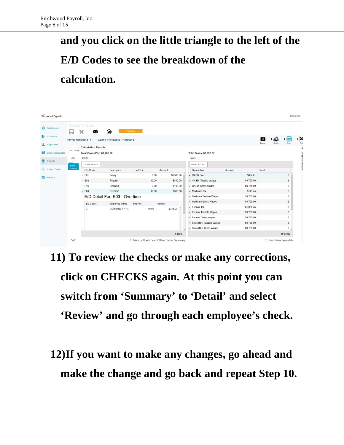# **and you click on the little triangle to the left of the E/D Codes to see the breakdown of the calculation.**

|   | Birchwood Payroll <sub>ic</sub> |                    |                                    |                                  |         |                                                  |                                |            |         | Joshuadion -            |
|---|---------------------------------|--------------------|------------------------------------|----------------------------------|---------|--------------------------------------------------|--------------------------------|------------|---------|-------------------------|
|   | <b>Dashboard</b>                |                    | Payroll Timeline<br>⋈              | ⊛<br>Pending                     |         |                                                  |                                |            |         |                         |
|   | <b>Hy</b> Company<br>Employees  |                    | Payroll 12/06/2019 - 1             | Batch 1: 11/16/2019 - 11/29/2019 |         |                                                  |                                |            | Batcher | œ<br>Checks             |
|   |                                 | CALCULATE          | <b>Calculation Results</b>         |                                  |         |                                                  |                                |            |         |                         |
| 翩 | <b>Check Calculator</b>         |                    | <b>Total Gross Pay: \$9,755.00</b> |                                  |         |                                                  | <b>Total Taxes: \$2,692.37</b> |            |         |                         |
|   | <b>D</b> Payrolls               | ∧                  | Totals                             |                                  |         |                                                  | Taxes                          |            |         | <b>Hayroll Notes</b>    |
|   |                                 | Batch <sub>1</sub> | EXPORT TO EXCEL                    |                                  |         |                                                  | EXPORT TO EXCEL                |            |         |                         |
|   | <b>Q</b> Check Finder           | Bi-Weekly          | E/D Code                           | Description                      | Hrs/Pcs | Amount                                           | Description                    | Amount     | Count   |                         |
| 倡 | Reports                         |                    | E01                                | Salary                           | 0.00    | \$8,500.00                                       | • OASDI Tax                    | \$604.81   |         | 3                       |
|   |                                 |                    | E02                                | Regular                          | 40.00   | \$840.00                                         | > OASDI Taxable Wages          | \$9,755.00 |         | $\sqrt{3}$              |
|   |                                 |                    | E16                                | Cleaning                         | 0.00    | \$100.00                                         | ▶ OASDI Gross Wages            | \$9,755.00 |         | 3                       |
|   |                                 |                    | $\sqrt{2}$ E03                     | Overtime                         | 10.00   | \$315.00                                         | » Medicare Tax                 | \$141.45   |         | 3                       |
|   |                                 |                    |                                    | E/D Detail For: E03 - Overtime   |         |                                                  | Medicare Taxable Wages         | \$9,755.00 |         | 3                       |
|   |                                 |                    | EE Code +                          | Employee Name                    | Hrs/Pcs | Amount                                           | Medicare Gross Wages           | \$9,755.00 |         | 3                       |
|   |                                 |                    | 3                                  | COURTNEY A P                     | 10.00   | \$315.00                                         | Federal Tax                    | \$1,936.35 |         | $\sqrt{3}$              |
|   |                                 |                    |                                    |                                  |         |                                                  | Federal Taxable Wages          | \$9,755.00 |         | 3                       |
|   |                                 |                    |                                    |                                  |         |                                                  | Federal Gross Wages            | \$9,755.00 |         | $\mathbf{3}$            |
|   |                                 |                    |                                    |                                  |         |                                                  | State (NH) Taxable Wages       | \$9,755.00 |         | $\mathbf{3}$            |
|   |                                 |                    |                                    |                                  |         |                                                  | State (NH) Gross Wages         | \$9,755.00 |         | $\mathbf{3}$            |
|   |                                 |                    |                                    |                                  |         | 4 items                                          |                                |            |         | 16 items                |
|   |                                 | $\checkmark$       |                                    |                                  |         | □ Totals by Check Type □ User Entries Separately |                                |            |         | User Entries Separately |

- **11) To review the checks or make any corrections, click on CHECKS again. At this point you can switch from 'Summary' to 'Detail' and select 'Review' and go through each employee's check.**
- **12)If you want to make any changes, go ahead and make the change and go back and repeat Step 10.**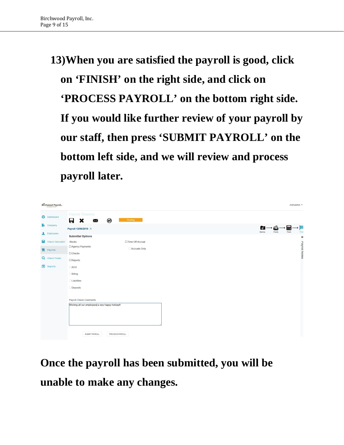# **13)When you are satisfied the payroll is good, click on 'FINISH' on the right side, and click on 'PROCESS PAYROLL' on the bottom right side. If you would like further review of your payroll by our staff, then press 'SUBMIT PAYROLL' on the bottom left side, and we will review and process payroll later.**

|   | Birchwood Payroll                       |                                                 |                        |  |  |  |  |         |        |        | Joshuadion - |                        |
|---|-----------------------------------------|-------------------------------------------------|------------------------|--|--|--|--|---------|--------|--------|--------------|------------------------|
|   | <b>Dashboard</b>                        | Payroll Timeline<br>®<br>H<br>×<br>X            | Pending                |  |  |  |  |         |        |        |              |                        |
|   | $\mathbf{H}_{\hat{\mathbf{Y}}}$ Company | Payroll 12/06/2019 - 1                          |                        |  |  |  |  | $\phi$  |        | m      |              | 网                      |
|   | Employees                               | <b>Submittal Options</b>                        |                        |  |  |  |  | Batches | Checks | Totals |              | Finish<br>$\leftarrow$ |
| 扁 | <b>Check Calculator</b>                 | <b>Blocks</b>                                   | □ Time Off Accrual     |  |  |  |  |         |        |        |              |                        |
|   |                                         | Agency Payments                                 | Accruals Only          |  |  |  |  |         |        |        |              | Payroll Notes          |
|   | Payrolls                                | $\Box$ Checks                                   |                        |  |  |  |  |         |        |        |              |                        |
|   | Q Check Finder                          | $\Box$ Reports                                  |                        |  |  |  |  |         |        |        |              |                        |
| 倡 | Reports                                 | $\Box$ ACH                                      |                        |  |  |  |  |         |        |        |              |                        |
|   |                                         | <b>Billing</b>                                  |                        |  |  |  |  |         |        |        |              |                        |
|   |                                         | Liabilities                                     |                        |  |  |  |  |         |        |        |              |                        |
|   |                                         | <b>Deposits</b>                                 |                        |  |  |  |  |         |        |        |              |                        |
|   |                                         |                                                 |                        |  |  |  |  |         |        |        |              |                        |
|   |                                         | Payroll Check Comments                          |                        |  |  |  |  |         |        |        |              |                        |
|   |                                         | Wishing all our employees a very happy holiday! |                        |  |  |  |  |         |        |        |              |                        |
|   |                                         |                                                 |                        |  |  |  |  |         |        |        |              |                        |
|   |                                         |                                                 |                        |  |  |  |  |         |        |        |              |                        |
|   |                                         |                                                 |                        |  |  |  |  |         |        |        |              |                        |
|   |                                         | <b>SUBMIT PAYROLL</b>                           | <b>PROCESS PAYROLL</b> |  |  |  |  |         |        |        |              |                        |

**Once the payroll has been submitted, you will be unable to make any changes.**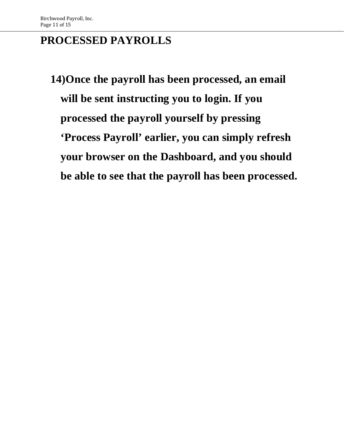## **PROCESSED PAYROLLS**

**14)Once the payroll has been processed, an email will be sent instructing you to login. If you processed the payroll yourself by pressing 'Process Payroll' earlier, you can simply refresh your browser on the Dashboard, and you should be able to see that the payroll has been processed.**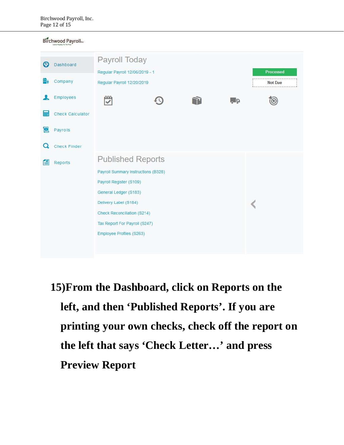#### Birchwood Payrolline

| Ω<br>н. | Dashboard<br>Company                | Payroll Today<br>Regular Payroll 12/06/2019 - 1<br>Regular Payroll 12/20/2019                                                                                                                                                            |  |    | Processed<br><b>Not Due</b> |
|---------|-------------------------------------|------------------------------------------------------------------------------------------------------------------------------------------------------------------------------------------------------------------------------------------|--|----|-----------------------------|
|         | Employees                           | ۳                                                                                                                                                                                                                                        |  | ĻЬ |                             |
|         | <b>Check Calculator</b><br>Payrolls |                                                                                                                                                                                                                                          |  |    |                             |
|         | <b>Check Finder</b>                 |                                                                                                                                                                                                                                          |  |    |                             |
|         | Reports                             | <b>Published Reports</b><br>Payroll Summary Instructions (B328)<br>Payroll Register (S109)<br>General Ledger (S183)<br>Delivery Label (S184)<br>Check Reconciliation (S214)<br>Tax Report For Payroll (S247)<br>Employee Profiles (S263) |  |    |                             |

**15)From the Dashboard, click on Reports on the left, and then 'Published Reports'. If you are printing your own checks, check off the report on the left that says 'Check Letter…' and press Preview Report**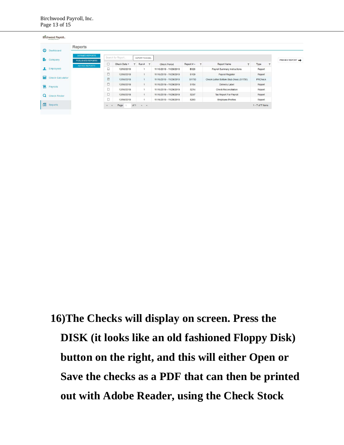| ⊕<br><b>Dashboard</b>        | Reports                                     |           |                   |              |                 |                         |                         |                  |              |                                        |              |                |                |
|------------------------------|---------------------------------------------|-----------|-------------------|--------------|-----------------|-------------------------|-------------------------|------------------|--------------|----------------------------------------|--------------|----------------|----------------|
| B.<br>Company                | <b>DEFINED REPORTS</b><br>PUBLISHED REPORTS |           | Search for Report |              | EXPORT TO EXCEL |                         |                         |                  |              |                                        |              |                | PREVIEW REPORT |
|                              | AD HOC REPORTS                              | $\Box$    | Check Date v      | $\mathbf{v}$ | Run#            | $\overline{\mathbf{v}}$ | <b>Check Period</b>     | Report # 4       | $\mathbf{r}$ | <b>Report Name</b>                     | $\mathbf{v}$ | Type           |                |
| Employees<br>A.              |                                             | $\Box$    | 12/06/2019        |              | $\overline{1}$  |                         | 11/16/2019 - 11/29/2019 | <b>B328</b>      |              | Payroll Summary Instructions           |              | Report         |                |
|                              |                                             | $\Box$    | 12/06/2019        |              | $\overline{1}$  |                         | 11/16/2019 - 11/29/2019 | S <sub>109</sub> |              | <b>Payroll Register</b>                |              | Report         |                |
| 扁<br><b>Check Calculator</b> |                                             | $\boxdot$ | 12/06/2019        |              | $\overline{1}$  |                         | 11/16/2019 - 11/29/2019 | S1750            |              | Check Letter Bottom Stub (New) (S1750) |              | <b>PRCheck</b> |                |
|                              |                                             | $\Box$    | 12/06/2019        |              | $\overline{1}$  |                         | 11/16/2019 - 11/29/2019 | S184             |              | Delivery Label                         |              | Report         |                |
| 19<br>Payrolls               |                                             | $\Box$    | 12/06/2019        |              | $\mathbf{1}$    |                         | 11/16/2019 - 11/29/2019 | S214             |              | <b>Check Reconciliation</b>            |              | Report         |                |
| Q<br><b>Check Finder</b>     |                                             | $\Box$    | 12/06/2019        |              | $\mathbf{1}$    |                         | 11/16/2019 - 11/29/2019 | S247             |              | <b>Tax Report For Payroll</b>          |              | Report         |                |
|                              |                                             | $\Box$    | 12/06/2019        |              | $\mathbf{A}$    |                         | 11/16/2019 - 11/29/2019 | S263             |              | <b>Employee Profiles</b>               |              | Report         |                |

**16)The Checks will display on screen. Press the DISK (it looks like an old fashioned Floppy Disk) button on the right, and this will either Open or Save the checks as a PDF that can then be printed out with Adobe Reader, using the Check Stock**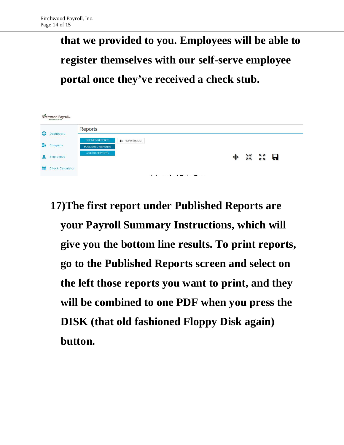**that we provided to you. Employees will be able to register themselves with our self-serve employee portal once they've received a check stub.** 

|              | Birchwood Payroll       |                        |                      |                         |    |     |   |  |
|--------------|-------------------------|------------------------|----------------------|-------------------------|----|-----|---|--|
| $\mathbf{C}$ | Dashboard               | Reports                |                      |                         |    |     |   |  |
|              |                         | <b>DEFINED REPORTS</b> | <b>EXEPORTS LIST</b> |                         |    |     |   |  |
| H.           | Company                 | PUBLISHED REPORTS      |                      |                         |    |     |   |  |
|              | Employees               | AD HOC REPORTS         |                      |                         | XK | SS. | 6 |  |
| 翩            | <b>Check Calculator</b> |                        |                      |                         |    |     |   |  |
|              |                         |                        |                      | 1.4.1.1.17.1.0<br>- - - |    |     |   |  |

**17)The first report under Published Reports are your Payroll Summary Instructions, which will give you the bottom line results. To print reports, go to the Published Reports screen and select on the left those reports you want to print, and they will be combined to one PDF when you press the DISK (that old fashioned Floppy Disk again) button.**